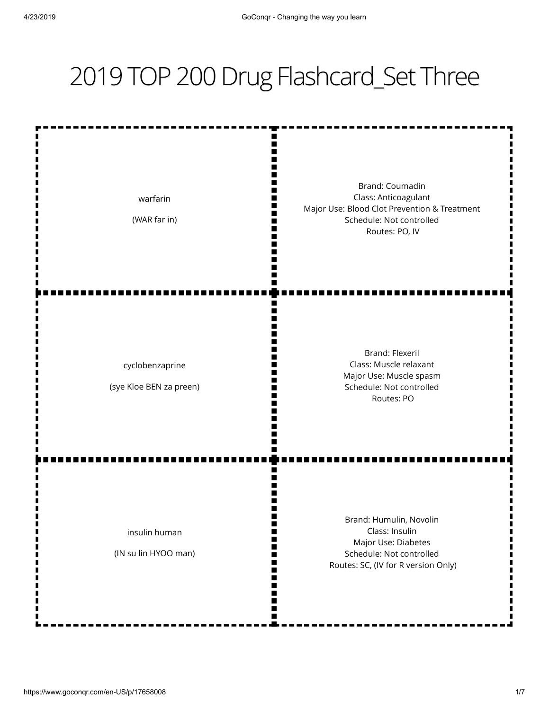## 2019 TOP 200 Drug Flashcard\_Set Three

| warfarin<br>(WAR far in)                   | Brand: Coumadin<br>Class: Anticoagulant<br>Major Use: Blood Clot Prevention & Treatment<br>Schedule: Not controlled<br>Routes: PO, IV |
|--------------------------------------------|---------------------------------------------------------------------------------------------------------------------------------------|
| cyclobenzaprine<br>(sye Kloe BEN za preen) | <b>Brand: Flexeril</b><br>Class: Muscle relaxant<br>Major Use: Muscle spasm<br>Schedule: Not controlled<br>Routes: PO                 |
| insulin human<br>(IN su lin HYOO man)      | Brand: Humulin, Novolin<br>Class: Insulin<br>Major Use: Diabetes<br>Schedule: Not controlled<br>Routes: SC, (IV for R version Only)   |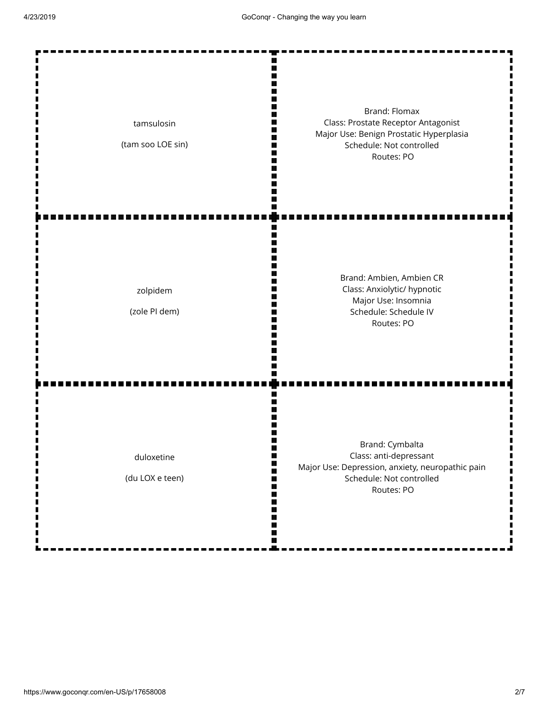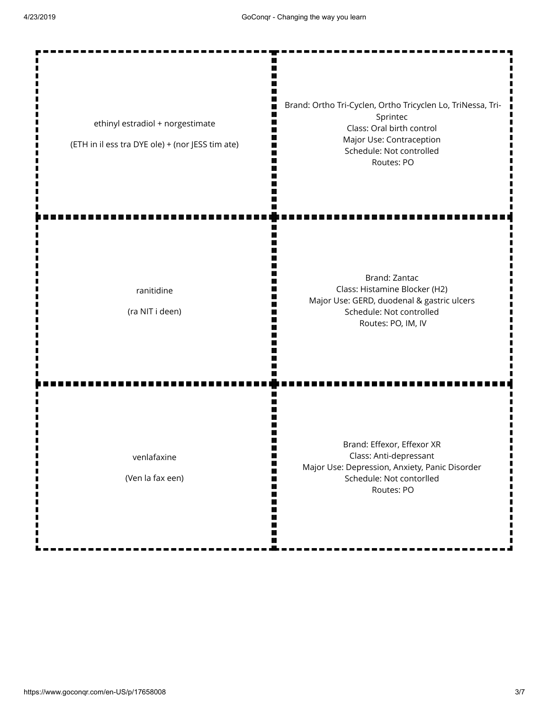Brand: Ortho Tri-Cyclen, Ortho Tricyclen Lo, TriNessa, Tri-Sprintec ethinyl estradiol + norgestimate Class: Oral birth control Major Use: Contraception (ETH in il ess tra DYE ole) + (nor JESS tim ate) Schedule: Not controlled Routes: PO Brand: Zantac Class: Histamine Blocker (H2) ranitidine г Major Use: GERD, duodenal & gastric ulcers п (ra NIT i deen) Schedule: Not controlled Routes: PO, IM, IV Brand: Effexor, Effexor XR Class: Anti-depressant venlafaxine Major Use: Depression, Anxiety, Panic Disorder П (Ven la fax een) Schedule: Not contorlled п п Routes: PO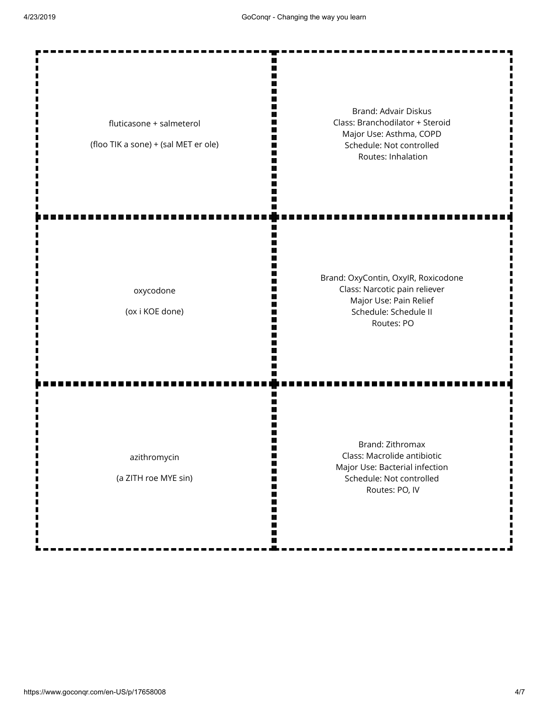| fluticasone + salmeterol<br>(floo TIK a sone) + (sal MET er ole) | Brand: Advair Diskus<br>Class: Branchodilator + Steroid<br>Major Use: Asthma, COPD<br>Schedule: Not controlled<br>Routes: Inhalation  |
|------------------------------------------------------------------|---------------------------------------------------------------------------------------------------------------------------------------|
| oxycodone<br>(ox i KOE done)                                     | Brand: OxyContin, OxylR, Roxicodone<br>Class: Narcotic pain reliever<br>Major Use: Pain Relief<br>Schedule: Schedule II<br>Routes: PO |
| azithromycin<br>(a ZITH roe MYE sin)                             | Brand: Zithromax<br>Class: Macrolide antibiotic<br>Major Use: Bacterial infection<br>Schedule: Not controlled<br>Routes: PO, IV       |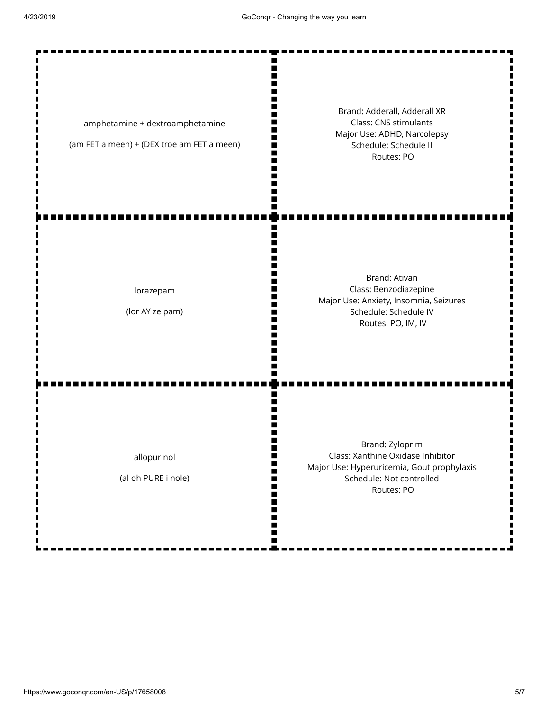г П  $\blacksquare$  $\blacksquare$ 

г г

п  $\blacksquare$ 

п

П  $\blacksquare$ ī

amphetamine + dextroamphetamine

(am FET a meen) + (DEX troe am FET a meen)

Brand: Adderall, Adderall XR Class: CNS stimulants Major Use: ADHD, Narcolepsy Schedule: Schedule II Routes: PO

lorazepam

(lor AY ze pam)

Brand: Ativan Class: Benzodiazepine Major Use: Anxiety, Insomnia, Seizures Schedule: Schedule IV Routes: PO, IM, IV

allopurinol

(al oh PURE i nole)

Brand: Zyloprim Class: Xanthine Oxidase Inhibitor Major Use: Hyperuricemia, Gout prophylaxis Schedule: Not controlled Routes: PO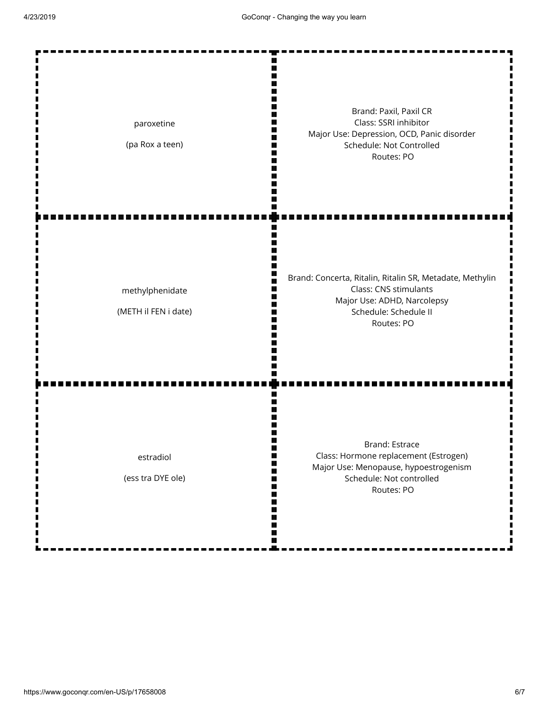| paroxetine<br>(pa Rox a teen)           | Brand: Paxil, Paxil CR<br>Class: SSRI inhibitor<br>Major Use: Depression, OCD, Panic disorder<br>Schedule: Not Controlled<br>Routes: PO                 |
|-----------------------------------------|---------------------------------------------------------------------------------------------------------------------------------------------------------|
| methylphenidate<br>(METH il FEN i date) | Brand: Concerta, Ritalin, Ritalin SR, Metadate, Methylin<br>Class: CNS stimulants<br>Major Use: ADHD, Narcolepsy<br>Schedule: Schedule II<br>Routes: PO |
| estradiol<br>(ess tra DYE ole)          | <b>Brand: Estrace</b><br>Class: Hormone replacement (Estrogen)<br>Major Use: Menopause, hypoestrogenism<br>Schedule: Not controlled<br>Routes: PO       |